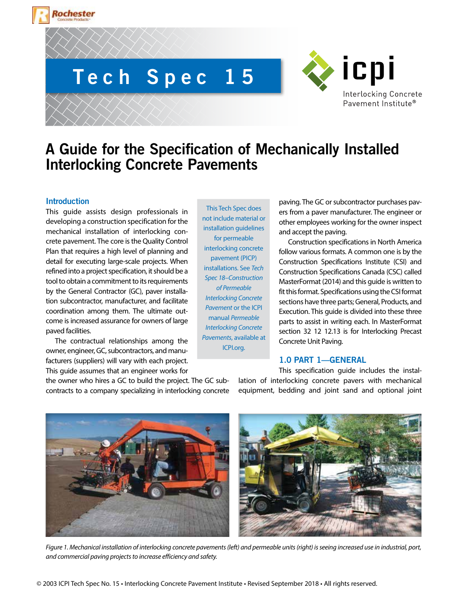



# **A Guide for the Specification of Mechanically Installed Interlocking Concrete Pavements**

# **Introduction**

Rochester

This guide assists design professionals in developing a construction specification for the mechanical installation of interlocking concrete pavement. The core is the Quality Control Plan that requires a high level of planning and detail for executing large-scale projects. When refined into a project specification, it should be a tool to obtain a commitment to its requirements by the General Contractor (GC), paver installation subcontractor, manufacturer, and facilitate coordination among them. The ultimate outcome is increased assurance for owners of large paved facilities.

The contractual relationships among the owner, engineer, GC, subcontractors, and manufacturers (suppliers) will vary with each project. This guide assumes that an engineer works for

the owner who hires a GC to build the project. The GC subcontracts to a company specializing in interlocking concrete

This Tech Spec does not include material or installation guidelines for permeable interlocking concrete pavement (PICP) installations. See *Tech Spec 18–Construction of Permeable Interlocking Concrete Pavement* or the ICPI manual *Permeable Interlocking Concrete Pavements*, available at ICPI.org.

paving. The GC or subcontractor purchases pavers from a paver manufacturer. The engineer or other employees working for the owner inspect and accept the paving.

Construction specifications in North America follow various formats. A common one is by the Construction Specifications Institute (CSI) and Construction Specifications Canada (CSC) called MasterFormat (2014) and this guide is written to fit this format. Specifications using the CSI format sections have three parts; General, Products, and Execution. This guide is divided into these three parts to assist in writing each. In MasterFormat section 32 12 12.13 is for Interlocking Precast Concrete Unit Paving.

# **1.0 PART 1—GENERAL**

This specification guide includes the installation of interlocking concrete pavers with mechanical equipment, bedding and joint sand and optional joint



*Figure 1. Mechanical installation of interlocking concrete pavements (left) and permeable units (right) is seeing increased use in industrial, port, and commercial paving projects to increase efficiency and safety.*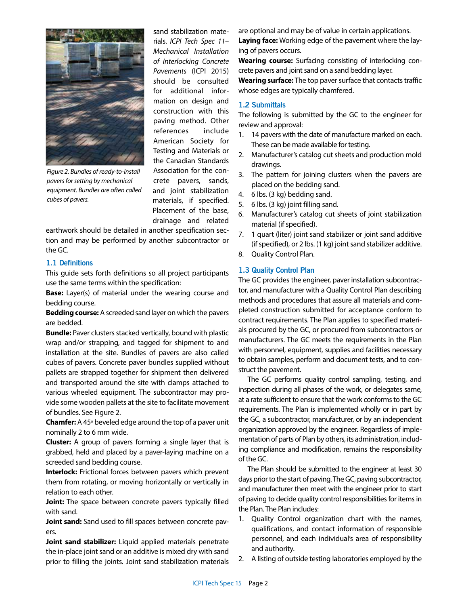

*Figure 2. Bundles of ready-to-install pavers for setting by mechanical equipment. Bundles are often called cubes of pavers.*

sand stabilization materials. *ICPI Tech Spec 11– Mechanical Installation of Interlocking Concrete Pavements* (ICPI 2015) should be consulted for additional information on design and construction with this paving method. Other references include American Society for Testing and Materials or the Canadian Standards Association for the concrete pavers, sands, and joint stabilization materials, if specified. Placement of the base, drainage and related

earthwork should be detailed in another specification section and may be performed by another subcontractor or the GC.

#### **1.1 Definitions**

This guide sets forth definitions so all project participants use the same terms within the specification:

**Base:** Layer(s) of material under the wearing course and bedding course.

**Bedding course:** A screeded sand layer on which the pavers are bedded.

**Bundle:** Paver clusters stacked vertically, bound with plastic wrap and/or strapping, and tagged for shipment to and installation at the site. Bundles of pavers are also called cubes of pavers. Concrete paver bundles supplied without pallets are strapped together for shipment then delivered and transported around the site with clamps attached to various wheeled equipment. The subcontractor may provide some wooden pallets at the site to facilitate movement of bundles. See Figure 2.

**Chamfer:** A 45° beveled edge around the top of a paver unit nominally 2 to 6 mm wide.

**Cluster:** A group of pavers forming a single layer that is grabbed, held and placed by a paver-laying machine on a screeded sand bedding course.

**Interlock:** Frictional forces between pavers which prevent them from rotating, or moving horizontally or vertically in relation to each other.

**Joint:** The space between concrete pavers typically filled with sand.

**Joint sand:** Sand used to fill spaces between concrete pavers.

**Joint sand stabilizer:** Liquid applied materials penetrate the in-place joint sand or an additive is mixed dry with sand prior to filling the joints. Joint sand stabilization materials

are optional and may be of value in certain applications. **Laying face:** Working edge of the pavement where the laying of pavers occurs.

**Wearing course:** Surfacing consisting of interlocking concrete pavers and joint sand on a sand bedding layer.

**Wearing surface:** The top paver surface that contacts traffic whose edges are typically chamfered.

#### **1.2 Submittals**

The following is submitted by the GC to the engineer for review and approval:

- 1. 14 pavers with the date of manufacture marked on each. These can be made available for testing.
- 2. Manufacturer's catalog cut sheets and production mold drawings.
- 3. The pattern for joining clusters when the pavers are placed on the bedding sand.
- 4. 6 lbs. (3 kg) bedding sand.
- 5. 6 lbs. (3 kg) joint filling sand.
- 6. Manufacturer's catalog cut sheets of joint stabilization material (if specified).
- 7. 1 quart (liter) joint sand stabilizer or joint sand additive (if specified), or 2 lbs. (1 kg) joint sand stabilizer additive.
- 8. Quality Control Plan.

## **1.3 Quality Control Plan**

The GC provides the engineer, paver installation subcontractor, and manufacturer with a Quality Control Plan describing methods and procedures that assure all materials and completed construction submitted for acceptance conform to contract requirements. The Plan applies to specified materials procured by the GC, or procured from subcontractors or manufacturers. The GC meets the requirements in the Plan with personnel, equipment, supplies and facilities necessary to obtain samples, perform and document tests, and to construct the pavement.

The GC performs quality control sampling, testing, and inspection during all phases of the work, or delegates same, at a rate sufficient to ensure that the work conforms to the GC requirements. The Plan is implemented wholly or in part by the GC, a subcontractor, manufacturer, or by an independent organization approved by the engineer. Regardless of implementation of parts of Plan by others, its administration, including compliance and modification, remains the responsibility of the GC.

The Plan should be submitted to the engineer at least 30 days prior to the start of paving. The GC, paving subcontractor, and manufacturer then meet with the engineer prior to start of paving to decide quality control responsibilities for items in the Plan. The Plan includes:

- 1. Quality Control organization chart with the names, qualifications, and contact information of responsible personnel, and each individual's area of responsibility and authority.
- 2. A listing of outside testing laboratories employed by the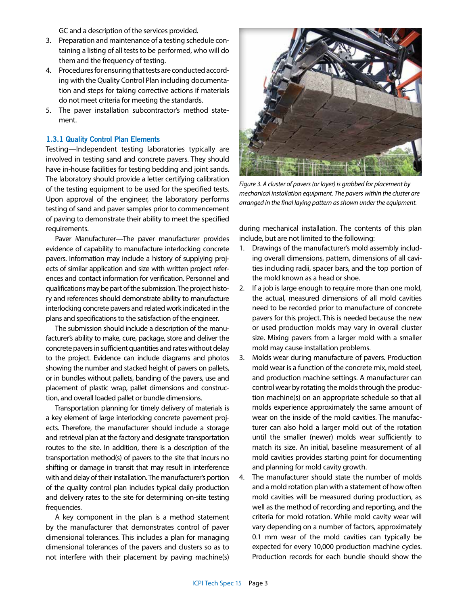GC and a description of the services provided.

- 3. Preparation and maintenance of a testing schedule containing a listing of all tests to be performed, who will do them and the frequency of testing.
- 4. Procedures for ensuring that tests are conducted according with the Quality Control Plan including documentation and steps for taking corrective actions if materials do not meet criteria for meeting the standards.
- 5. The paver installation subcontractor's method statement.

## **1.3.1 Quality Control Plan Elements**

Testing—Independent testing laboratories typically are involved in testing sand and concrete pavers. They should have in-house facilities for testing bedding and joint sands. The laboratory should provide a letter certifying calibration of the testing equipment to be used for the specified tests. Upon approval of the engineer, the laboratory performs testing of sand and paver samples prior to commencement of paving to demonstrate their ability to meet the specified requirements.

Paver Manufacturer—The paver manufacturer provides evidence of capability to manufacture interlocking concrete pavers. Information may include a history of supplying projects of similar application and size with written project references and contact information for verification. Personnel and qualifications may be part of the submission. The project history and references should demonstrate ability to manufacture interlocking concrete pavers and related work indicated in the plans and specifications to the satisfaction of the engineer.

The submission should include a description of the manufacturer's ability to make, cure, package, store and deliver the concrete pavers in sufficient quantities and rates without delay to the project. Evidence can include diagrams and photos showing the number and stacked height of pavers on pallets, or in bundles without pallets, banding of the pavers, use and placement of plastic wrap, pallet dimensions and construction, and overall loaded pallet or bundle dimensions.

Transportation planning for timely delivery of materials is a key element of large interlocking concrete pavement projects. Therefore, the manufacturer should include a storage and retrieval plan at the factory and designate transportation routes to the site. In addition, there is a description of the transportation method(s) of pavers to the site that incurs no shifting or damage in transit that may result in interference with and delay of their installation. The manufacturer's portion of the quality control plan includes typical daily production and delivery rates to the site for determining on-site testing frequencies.

A key component in the plan is a method statement by the manufacturer that demonstrates control of paver dimensional tolerances. This includes a plan for managing dimensional tolerances of the pavers and clusters so as to not interfere with their placement by paving machine(s)



*Figure 3. A cluster of pavers (or layer) is grabbed for placement by mechanical installation equipment. The pavers within the cluster are arranged in the final laying pattern as shown under the equipment.*

during mechanical installation. The contents of this plan include, but are not limited to the following:

- 1. Drawings of the manufacturer's mold assembly including overall dimensions, pattern, dimensions of all cavities including radii, spacer bars, and the top portion of the mold known as a head or shoe.
- 2. If a job is large enough to require more than one mold, the actual, measured dimensions of all mold cavities need to be recorded prior to manufacture of concrete pavers for this project. This is needed because the new or used production molds may vary in overall cluster size. Mixing pavers from a larger mold with a smaller mold may cause installation problems.
- 3. Molds wear during manufacture of pavers. Production mold wear is a function of the concrete mix, mold steel, and production machine settings. A manufacturer can control wear by rotating the molds through the production machine(s) on an appropriate schedule so that all molds experience approximately the same amount of wear on the inside of the mold cavities. The manufacturer can also hold a larger mold out of the rotation until the smaller (newer) molds wear sufficiently to match its size. An initial, baseline measurement of all mold cavities provides starting point for documenting and planning for mold cavity growth.
- 4. The manufacturer should state the number of molds and a mold rotation plan with a statement of how often mold cavities will be measured during production, as well as the method of recording and reporting, and the criteria for mold rotation. While mold cavity wear will vary depending on a number of factors, approximately 0.1 mm wear of the mold cavities can typically be expected for every 10,000 production machine cycles. Production records for each bundle should show the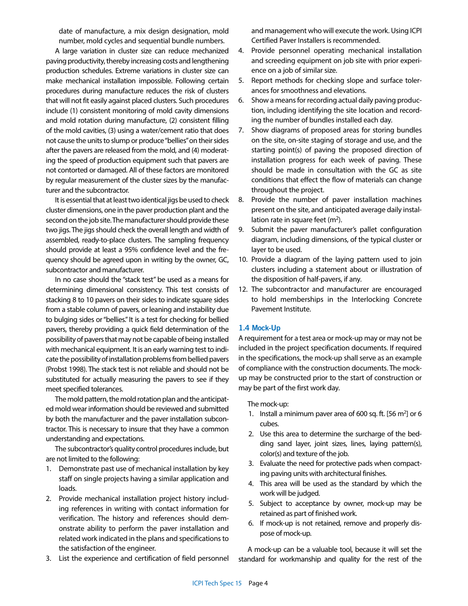date of manufacture, a mix design designation, mold number, mold cycles and sequential bundle numbers.

A large variation in cluster size can reduce mechanized paving productivity, thereby increasing costs and lengthening production schedules. Extreme variations in cluster size can make mechanical installation impossible. Following certain procedures during manufacture reduces the risk of clusters that will not fit easily against placed clusters. Such procedures include (1) consistent monitoring of mold cavity dimensions and mold rotation during manufacture, (2) consistent filling of the mold cavities, (3) using a water/cement ratio that does not cause the units to slump or produce "bellies" on their sides after the pavers are released from the mold, and (4) moderating the speed of production equipment such that pavers are not contorted or damaged. All of these factors are monitored by regular measurement of the cluster sizes by the manufacturer and the subcontractor.

It is essential that at least two identical jigs be used to check cluster dimensions, one in the paver production plant and the second on the job site. The manufacturer should provide these two jigs. The jigs should check the overall length and width of assembled, ready-to-place clusters. The sampling frequency should provide at least a 95% confidence level and the frequency should be agreed upon in writing by the owner, GC, subcontractor and manufacturer.

In no case should the "stack test" be used as a means for determining dimensional consistency. This test consists of stacking 8 to 10 pavers on their sides to indicate square sides from a stable column of pavers, or leaning and instability due to bulging sides or "bellies." It is a test for checking for bellied pavers, thereby providing a quick field determination of the possibility of pavers that may not be capable of being installed with mechanical equipment. It is an early warning test to indicate the possibility of installation problems from bellied pavers (Probst 1998). The stack test is not reliable and should not be substituted for actually measuring the pavers to see if they meet specified tolerances.

The mold pattern, the mold rotation plan and the anticipated mold wear information should be reviewed and submitted by both the manufacturer and the paver installation subcontractor. This is necessary to insure that they have a common understanding and expectations.

The subcontractor's quality control procedures include, but are not limited to the following:

- 1. Demonstrate past use of mechanical installation by key staff on single projects having a similar application and loads.
- 2. Provide mechanical installation project history including references in writing with contact information for verification. The history and references should demonstrate ability to perform the paver installation and related work indicated in the plans and specifications to the satisfaction of the engineer.
- 3. List the experience and certification of field personnel

and management who will execute the work. Using ICPI Certified Paver Installers is recommended.

- 4. Provide personnel operating mechanical installation and screeding equipment on job site with prior experience on a job of similar size.
- 5. Report methods for checking slope and surface tolerances for smoothness and elevations.
- 6. Show a means for recording actual daily paving production, including identifying the site location and recording the number of bundles installed each day.
- 7. Show diagrams of proposed areas for storing bundles on the site, on-site staging of storage and use, and the starting point(s) of paving the proposed direction of installation progress for each week of paving. These should be made in consultation with the GC as site conditions that effect the flow of materials can change throughout the project.
- 8. Provide the number of paver installation machines present on the site, and anticipated average daily installation rate in square feet  $(m<sup>2</sup>)$ .
- 9. Submit the paver manufacturer's pallet configuration diagram, including dimensions, of the typical cluster or layer to be used.
- 10. Provide a diagram of the laying pattern used to join clusters including a statement about or illustration of the disposition of half-pavers, if any.
- 12. The subcontractor and manufacturer are encouraged to hold memberships in the Interlocking Concrete Pavement Institute.

## **1.4 Mock-Up**

A requirement for a test area or mock-up may or may not be included in the project specification documents. If required in the specifications, the mock-up shall serve as an example of compliance with the construction documents. The mockup may be constructed prior to the start of construction or may be part of the first work day.

#### The mock-up:

- 1. Install a minimum paver area of 600 sq. ft.  $[56 \, \text{m}^2]$  or 6 cubes.
- 2. Use this area to determine the surcharge of the bedding sand layer, joint sizes, lines, laying pattern(s), color(s) and texture of the job.
- 3. Evaluate the need for protective pads when compacting paving units with architectural finishes.
- 4. This area will be used as the standard by which the work will be judged.
- 5. Subject to acceptance by owner, mock-up may be retained as part of finished work.
- 6. If mock-up is not retained, remove and properly dispose of mock-up.

A mock-up can be a valuable tool, because it will set the standard for workmanship and quality for the rest of the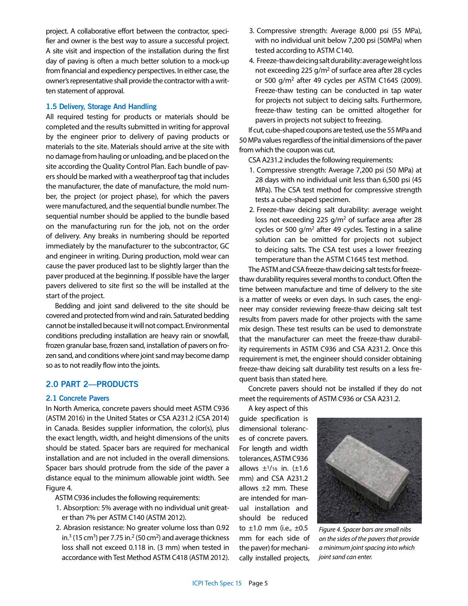project. A collaborative effort between the contractor, specifier and owner is the best way to assure a successful project. A site visit and inspection of the installation during the first day of paving is often a much better solution to a mock-up from financial and expediency perspectives. In either case, the owner's representative shall provide the contractor with a written statement of approval.

#### **1.5 Delivery, Storage And Handling**

All required testing for products or materials should be completed and the results submitted in writing for approval by the engineer prior to delivery of paving products or materials to the site. Materials should arrive at the site with no damage from hauling or unloading, and be placed on the site according the Quality Control Plan. Each bundle of pavers should be marked with a weatherproof tag that includes the manufacturer, the date of manufacture, the mold number, the project (or project phase), for which the pavers were manufactured, and the sequential bundle number. The sequential number should be applied to the bundle based on the manufacturing run for the job, not on the order of delivery. Any breaks in numbering should be reported immediately by the manufacturer to the subcontractor, GC and engineer in writing. During production, mold wear can cause the paver produced last to be slightly larger than the paver produced at the beginning. If possible have the larger pavers delivered to site first so the will be installed at the start of the project.

Bedding and joint sand delivered to the site should be covered and protected from wind and rain. Saturated bedding cannot be installed because it will not compact. Environmental conditions precluding installation are heavy rain or snowfall, frozen granular base, frozen sand, installation of pavers on frozen sand, and conditions where joint sand may become damp so as to not readily flow into the joints.

# **2.0 PART 2—PRODUCTS**

#### **2.1 Concrete Pavers**

In North America, concrete pavers should meet ASTM C936 (ASTM 2016) in the United States or CSA A231.2 (CSA 2014) in Canada. Besides supplier information, the color(s), plus the exact length, width, and height dimensions of the units should be stated. Spacer bars are required for mechanical installation and are not included in the overall dimensions. Spacer bars should protrude from the side of the paver a distance equal to the minimum allowable joint width. See Figure 4.

ASTM C936 includes the following requirements:

- 1. Absorption: 5% average with no individual unit greater than 7% per ASTM C140 (ASTM 2012).
- 2. Abrasion resistance: No greater volume loss than 0.92 in.<sup>3</sup> (15 cm<sup>3</sup>) per 7.75 in.<sup>2</sup> (50 cm<sup>2</sup>) and average thickness loss shall not exceed 0.118 in. (3 mm) when tested in accordance with Test Method ASTM C418 (ASTM 2012).
- 3. Compressive strength: Average 8,000 psi (55 MPa), with no individual unit below 7,200 psi (50MPa) when tested according to ASTM C140.
- 4. Freeze-thaw deicing salt durability: average weight loss not exceeding 225  $q/m^2$  of surface area after 28 cycles or 500 g/m2 after 49 cycles per ASTM C1645 (2009). Freeze-thaw testing can be conducted in tap water for projects not subject to deicing salts. Furthermore, freeze-thaw testing can be omitted altogether for pavers in projects not subject to freezing.

If cut, cube-shaped coupons are tested, use the 55 MPa and 50 MPa values regardless of the initial dimensions of the paver from which the coupon was cut.

CSA A231.2 includes the following requirements:

- 1. Compressive strength: Average 7,200 psi (50 MPa) at 28 days with no individual unit less than 6,500 psi (45 MPa). The CSA test method for compressive strength tests a cube-shaped specimen.
- 2. Freeze-thaw deicing salt durability: average weight loss not exceeding 225  $g/m^2$  of surface area after 28 cycles or 500  $g/m^2$  after 49 cycles. Testing in a saline solution can be omitted for projects not subject to deicing salts. The CSA test uses a lower freezing temperature than the ASTM C1645 test method.

The ASTM and CSA freeze-thaw deicing salt tests for freezethaw durability requires several months to conduct. Often the time between manufacture and time of delivery to the site is a matter of weeks or even days. In such cases, the engineer may consider reviewing freeze-thaw deicing salt test results from pavers made for other projects with the same mix design. These test results can be used to demonstrate that the manufacturer can meet the freeze-thaw durability requirements in ASTM C936 and CSA A231.2. Once this requirement is met, the engineer should consider obtaining freeze-thaw deicing salt durability test results on a less frequent basis than stated here.

Concrete pavers should not be installed if they do not meet the requirements of ASTM C936 or CSA A231.2.

A key aspect of this

guide specification is dimensional tolerances of concrete pavers. For length and width tolerances, ASTM C936 allows  $\pm$ <sup>1</sup>/16 in. ( $\pm$ 1.6 mm) and CSA A231.2 allows ±2 mm. These are intended for manual installation and should be reduced to  $\pm 1.0$  mm (i.e.,  $\pm 0.5$ mm for each side of the paver) for mechanically installed projects,



*Figure 4. Spacer bars are small nibs on the sides of the pavers that provide a minimum joint spacing into which joint sand can enter.*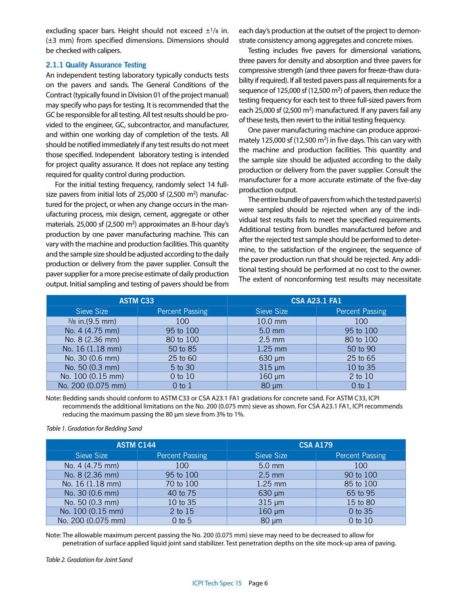excluding spacer bars. Height should not exceed  $\pm 1/s$  in. (±3 mm) from specified dimensions. Dimensions should be checked with calipers.

#### **2.1.1 Quality Assurance Testing**

An independent testing laboratory typically conducts tests on the pavers and sands. The General Conditions of the Contract (typically found in Division 01 of the project manual) may specify who pays for testing. It is recommended that the GC be responsible for all testing. All test results should be provided to the engineer, GC, subcontractor, and manufacturer, and within one working day of completion of the tests. All should be notified immediately if any test results do not meet those specified. Independent laboratory testing is intended for project quality assurance. It does not replace any testing required for quality control during production.

For the initial testing frequency, randomly select 14 fullsize pavers from initial lots of 25,000 sf (2,500 m<sup>2</sup>) manufactured for the project, or when any change occurs in the manufacturing process, mix design, cement, aggregate or other materials. 25,000 sf (2,500 m<sup>2</sup>) approximates an 8-hour day's production by one paver manufacturing machine. This can vary with the machine and production facilities. This quantity and the sample size should be adjusted according to the daily production or delivery from the paver supplier. Consult the paver supplier for a more precise estimate of daily production output. Initial sampling and testing of pavers should be from

each day's production at the outset of the project to demonstrate consistency among aggregates and concrete mixes.

Testing includes five pavers for dimensional variations, three pavers for density and absorption and three pavers for compressive strength (and three pavers for freeze-thaw durability if required). If all tested pavers pass all requirements for a sequence of 125,000 sf  $(12,500 \text{ m}^2)$  of pavers, then reduce the testing frequency for each test to three full-sized pavers from each 25,000 sf (2,500 m<sup>2</sup>) manufactured. If any pavers fail any of these tests, then revert to the initial testing frequency.

One paver manufacturing machine can produce approximately 125,000 sf (12,500  $m<sup>2</sup>$ ) in five days. This can vary with the machine and production facilities. This quantity and the sample size should be adjusted according to the daily production or delivery from the paver supplier. Consult the manufacturer for a more accurate estimate of the five-day production output.

The entire bundle of pavers from which the tested paver(s) were sampled should be rejected when any of the individual test results fails to meet the specified requirements. Additional testing from bundles manufactured before and after the rejected test sample should be performed to determine, to the satisfaction of the engineer, the sequence of the paver production run that should be rejected. Any additional testing should be performed at no cost to the owner. The extent of nonconforming test results may necessitate

| <b>ASTM C33</b>    |                        | <b>CSA A23.1 FA1</b> |                        |
|--------------------|------------------------|----------------------|------------------------|
| Sieve Size         | <b>Percent Passing</b> | Sieve Size           | <b>Percent Passing</b> |
| $3/8$ in. (9.5 mm) | 100                    | 10.0 mm              | 100                    |
| No. 4 (4.75 mm)    | 95 to 100              | $5.0$ mm             | 95 to 100              |
| No. 8 (2.36 mm)    | 80 to 100              | $2.5 \text{ mm}$     | 80 to 100              |
| No. 16 (1.18 mm)   | 50 to 85               | 1.25 mm              | 50 to 90               |
| No. 30 (0.6 mm)    | 25 to 60               | $630 \mu m$          | 25 to 65               |
| No. 50 (0.3 mm)    | 5 to 30                | $315 \mu m$          | 10 to 35               |
| No. 100 (0.15 mm)  | 0 to 10                | $160 \mu m$          | 2 to 10                |
| No. 200 (0.075 mm) | $0$ to $1$             | $80 \mu m$           | $0$ to $1$             |

Note: Bedding sands should conform to ASTM C33 or CSA A23.1 FA1 gradations for concrete sand. For ASTM C33, ICPI recommends the additional limitations on the No. 200 (0.075 mm) sieve as shown. For CSA A23.1 FA1, ICPI recommends reducing the maximum passing the 80 μm sieve from 3% to 1%.

*Table 1. Gradation for Bedding Sand*

| <b>ASTM C144</b>   |                        | <b>CSA A179</b>  |                        |
|--------------------|------------------------|------------------|------------------------|
| Sieve Size         | <b>Percent Passing</b> | Sieve Size       | <b>Percent Passing</b> |
| No. 4 (4.75 mm)    | 100                    | $5.0$ mm         | 100                    |
| No. 8 (2.36 mm)    | 95 to 100              | $2.5 \text{ mm}$ | 90 to 100              |
| No. 16 (1.18 mm)   | 70 to 100              | 1.25 mm          | 85 to 100              |
| No. 30 (0.6 mm)    | 40 to 75               | $630 \mu m$      | 65 to 95               |
| No. 50 (0.3 mm)    | 10 to 35               | $315 \mu m$      | 15 to 80               |
| No. 100 (0.15 mm)  | 2 to 15                | $160 \mu m$      | 0 to 35                |
| No. 200 (0.075 mm) | $0$ to $5$             | $80 \mu m$       | 0 to 10                |

Note: The allowable maximum percent passing the No. 200 (0.075 mm) sieve may need to be decreased to allow for penetration of surface applied liquid joint sand stabilizer. Test penetration depths on the site mock-up area of paving.

*Table 2. Gradation for Joint Sand*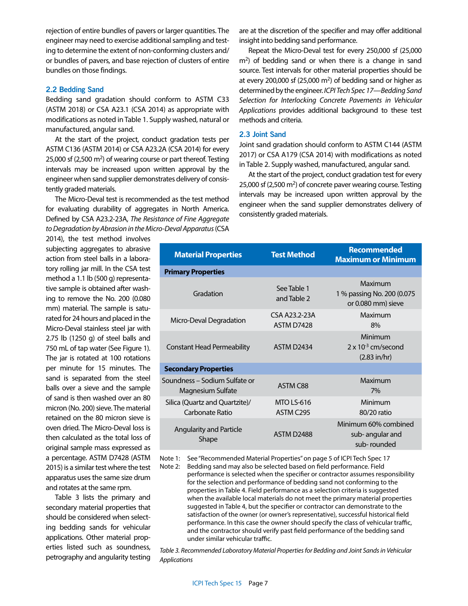rejection of entire bundles of pavers or larger quantities. The engineer may need to exercise additional sampling and testing to determine the extent of non-conforming clusters and/ or bundles of pavers, and base rejection of clusters of entire bundles on those findings.

### **2.2 Bedding Sand**

Bedding sand gradation should conform to ASTM C33 (ASTM 2018) or CSA A23.1 (CSA 2014) as appropriate with modifications as noted in Table 1. Supply washed, natural or manufactured, angular sand.

At the start of the project, conduct gradation tests per ASTM C136 (ASTM 2014) or CSA A23.2A (CSA 2014) for every 25,000 sf (2,500 m2) of wearing course or part thereof. Testing intervals may be increased upon written approval by the engineer when sand supplier demonstrates delivery of consistently graded materials.

The Micro-Deval test is recommended as the test method for evaluating durability of aggregates in North America. Defined by CSA A23.2-23A, *The Resistance of Fine Aggregate to Degradation by Abrasion in the Micro-Deval Apparatus* (CSA

2014), the test method involves subjecting aggregates to abrasive action from steel balls in a laboratory rolling jar mill. In the CSA test method a 1.1 lb (500 g) representative sample is obtained after washing to remove the No. 200 (0.080 mm) material. The sample is saturated for 24 hours and placed in the Micro-Deval stainless steel jar with 2.75 lb (1250 g) of steel balls and 750 mL of tap water (See Figure 1). The jar is rotated at 100 rotations per minute for 15 minutes. The sand is separated from the steel balls over a sieve and the sample of sand is then washed over an 80 micron (No. 200) sieve. The material retained on the 80 micron sieve is oven dried. The Micro-Deval loss is then calculated as the total loss of original sample mass expressed as a percentage. ASTM D7428 (ASTM 2015) is a similar test where the test apparatus uses the same size drum and rotates at the same rpm.

Table 3 lists the primary and secondary material properties that should be considered when selecting bedding sands for vehicular applications. Other material properties listed such as soundness, petrography and angularity testing

are at the discretion of the specifier and may offer additional insight into bedding sand performance.

Repeat the Micro-Deval test for every 250,000 sf (25,000  $m<sup>2</sup>$ ) of bedding sand or when there is a change in sand source. Test intervals for other material properties should be at every 200,000 sf (25,000  $\text{m}^2$ ) of bedding sand or higher as determined by the engineer. *ICPI Tech Spec 17—Bedding Sand Selection for Interlocking Concrete Pavements in Vehicular Applications* provides additional background to these test methods and criteria.

### **2.3 Joint Sand**

Joint sand gradation should conform to ASTM C144 (ASTM 2017) or CSA A179 (CSA 2014) with modifications as noted in Table 2. Supply washed, manufactured, angular sand.

At the start of the project, conduct gradation test for every 25,000 sf (2,500 m2) of concrete paver wearing course. Testing intervals may be increased upon written approval by the engineer when the sand supplier demonstrates delivery of consistently graded materials.

| <b>Material Properties</b>                         | <b>Test Method</b>             | <b>Recommended</b><br><b>Maximum or Minimum</b>                   |  |  |  |
|----------------------------------------------------|--------------------------------|-------------------------------------------------------------------|--|--|--|
| <b>Primary Properties</b>                          |                                |                                                                   |  |  |  |
| Gradation                                          | See Table 1<br>and Table 2     | Maximum<br>1 % passing No. 200 (0.075<br>or 0.080 mm) sieve       |  |  |  |
| Micro-Deval Degradation                            | CSA A23.2-23A<br>ASTM D7428    | Maximum<br>8%                                                     |  |  |  |
| <b>Constant Head Permeability</b>                  | ASTM D2434                     | Minimum<br>$2 \times 10^{-3}$ cm/second<br>$(2.83 \text{ in/hr})$ |  |  |  |
| <b>Secondary Properties</b>                        |                                |                                                                   |  |  |  |
| Soundness – Sodium Sulfate or<br>Magnesium Sulfate | ASTM C88                       | Maximum<br>7%                                                     |  |  |  |
| Silica (Quartz and Quartzite)/<br>Carbonate Ratio  | <b>MTO LS-616</b><br>ASTM C295 | Minimum<br>80/20 ratio                                            |  |  |  |
| <b>Angularity and Particle</b><br><b>Shape</b>     | ASTM D2488                     | Minimum 60% combined<br>sub-angular and<br>sub-rounded            |  |  |  |

Note 1: See "Recommended Material Properties" on page 5 of ICPI Tech Spec 17

Note 2: Bedding sand may also be selected based on field performance. Field performance is selected when the specifier or contractor assumes responsibility for the selection and performance of bedding sand not conforming to the properties in Table 4. Field performance as a selection criteria is suggested when the available local materials do not meet the primary material properties suggested in Table 4, but the specifier or contractor can demonstrate to the satisfaction of the owner (or owner's representative), successful historical field performance. In this case the owner should specify the class of vehicular traffic, and the contractor should verify past field performance of the bedding sand under similar vehicular traffic.

*Table 3. Recommended Laboratory Material Properties for Bedding and Joint Sands in Vehicular Applications*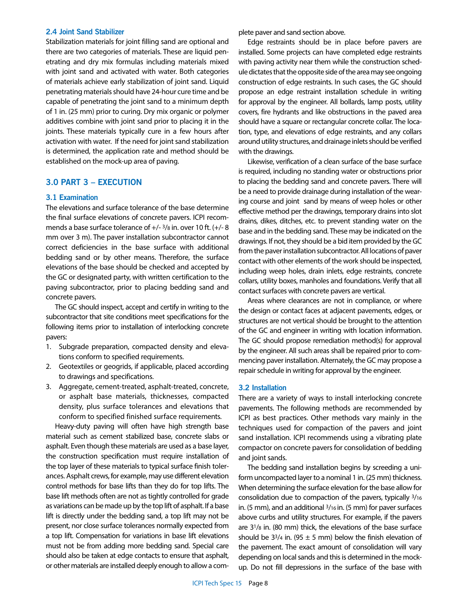#### **2.4 Joint Sand Stabilizer**

Stabilization materials for joint filling sand are optional and there are two categories of materials. These are liquid penetrating and dry mix formulas including materials mixed with joint sand and activated with water. Both categories of materials achieve early stabilization of joint sand. Liquid penetrating materials should have 24-hour cure time and be capable of penetrating the joint sand to a minimum depth of 1 in. (25 mm) prior to curing. Dry mix organic or polymer additives combine with joint sand prior to placing it in the joints. These materials typically cure in a few hours after activation with water. If the need for joint sand stabilization is determined, the application rate and method should be established on the mock-up area of paving.

## **3.0 PART 3 – EXECUTION**

#### **3.1 Examination**

The elevations and surface tolerance of the base determine the final surface elevations of concrete pavers. ICPI recommends a base surface tolerance of +/- 3/8 in. over 10 ft. (+/- 8 mm over 3 m). The paver installation subcontractor cannot correct deficiencies in the base surface with additional bedding sand or by other means. Therefore, the surface elevations of the base should be checked and accepted by the GC or designated party, with written certification to the paving subcontractor, prior to placing bedding sand and concrete pavers.

The GC should inspect, accept and certify in writing to the subcontractor that site conditions meet specifications for the following items prior to installation of interlocking concrete pavers:

- 1. Subgrade preparation, compacted density and elevations conform to specified requirements.
- 2. Geotextiles or geogrids, if applicable, placed according to drawings and specifications.
- 3. Aggregate, cement-treated, asphalt-treated, concrete, or asphalt base materials, thicknesses, compacted density, plus surface tolerances and elevations that conform to specified finished surface requirements.

Heavy-duty paving will often have high strength base material such as cement stabilized base, concrete slabs or asphalt. Even though these materials are used as a base layer, the construction specification must require installation of the top layer of these materials to typical surface finish tolerances. Asphalt crews, for example, may use different elevation control methods for base lifts than they do for top lifts. The base lift methods often are not as tightly controlled for grade as variations can be made up by the top lift of asphalt. If a base lift is directly under the bedding sand, a top lift may not be present, nor close surface tolerances normally expected from a top lift. Compensation for variations in base lift elevations must not be from adding more bedding sand. Special care should also be taken at edge contacts to ensure that asphalt, or other materials are installed deeply enough to allow a complete paver and sand section above.

Edge restraints should be in place before pavers are installed. Some projects can have completed edge restraints with paving activity near them while the construction schedule dictates that the opposite side of the area may see ongoing construction of edge restraints. In such cases, the GC should propose an edge restraint installation schedule in writing for approval by the engineer. All bollards, lamp posts, utility covers, fire hydrants and like obstructions in the paved area should have a square or rectangular concrete collar. The location, type, and elevations of edge restraints, and any collars around utility structures, and drainage inlets should be verified with the drawings.

Likewise, verification of a clean surface of the base surface is required, including no standing water or obstructions prior to placing the bedding sand and concrete pavers. There will be a need to provide drainage during installation of the wearing course and joint sand by means of weep holes or other effective method per the drawings, temporary drains into slot drains, dikes, ditches, etc. to prevent standing water on the base and in the bedding sand. These may be indicated on the drawings. If not, they should be a bid item provided by the GC from the paver installation subcontractor. All locations of paver contact with other elements of the work should be inspected, including weep holes, drain inlets, edge restraints, concrete collars, utility boxes, manholes and foundations. Verify that all contact surfaces with concrete pavers are vertical.

Areas where clearances are not in compliance, or where the design or contact faces at adjacent pavements, edges, or structures are not vertical should be brought to the attention of the GC and engineer in writing with location information. The GC should propose remediation method(s) for approval by the engineer. All such areas shall be repaired prior to commencing paver installation. Alternately, the GC may propose a repair schedule in writing for approval by the engineer.

#### **3.2 Installation**

There are a variety of ways to install interlocking concrete pavements. The following methods are recommended by ICPI as best practices. Other methods vary mainly in the techniques used for compaction of the pavers and joint sand installation. ICPI recommends using a vibrating plate compactor on concrete pavers for consolidation of bedding and joint sands.

The bedding sand installation begins by screeding a uniform uncompacted layer to a nominal 1 in. (25 mm) thickness. When determining the surface elevation for the base allow for consolidation due to compaction of the pavers, typically 3/16 in. (5 mm), and an additional 3/16 in. (5 mm) for paver surfaces above curbs and utility structures. For example, if the pavers are 31/8 in. (80 mm) thick, the elevations of the base surface should be 33/4 in. (95  $\pm$  5 mm) below the finish elevation of the pavement. The exact amount of consolidation will vary depending on local sands and this is determined in the mockup. Do not fill depressions in the surface of the base with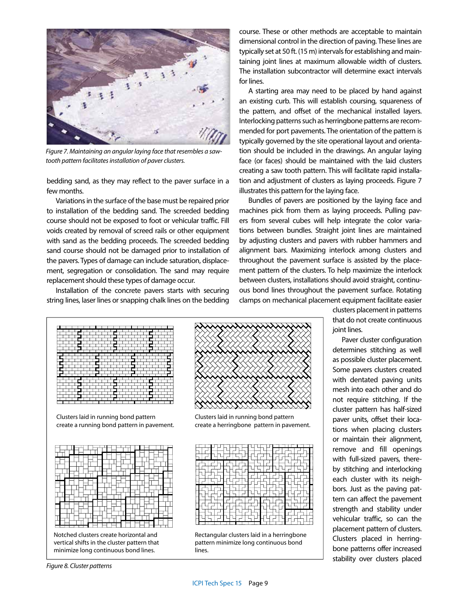

*Figure 7. Maintaining an angular laying face that resembles a sawtooth pattern facilitates installation of paver clusters.*

bedding sand, as they may reflect to the paver surface in a few months.

Variations in the surface of the base must be repaired prior to installation of the bedding sand. The screeded bedding course should not be exposed to foot or vehicular traffic. Fill voids created by removal of screed rails or other equipment with sand as the bedding proceeds. The screeded bedding sand course should not be damaged prior to installation of the pavers. Types of damage can include saturation, displacement, segregation or consolidation. The sand may require replacement should these types of damage occur.

Installation of the concrete pavers starts with securing string lines, laser lines or snapping chalk lines on the bedding course. These or other methods are acceptable to maintain dimensional control in the direction of paving. These lines are typically set at 50 ft. (15 m) intervals for establishing and maintaining joint lines at maximum allowable width of clusters. The installation subcontractor will determine exact intervals for lines.

A starting area may need to be placed by hand against an existing curb. This will establish coursing, squareness of the pattern, and offset of the mechanical installed layers. Interlocking patterns such as herringbone patterns are recommended for port pavements. The orientation of the pattern is typically governed by the site operational layout and orientation should be included in the drawings. An angular laying face (or faces) should be maintained with the laid clusters creating a saw tooth pattern. This will facilitate rapid installation and adjustment of clusters as laying proceeds. Figure 7 illustrates this pattern for the laying face.

Bundles of pavers are positioned by the laying face and machines pick from them as laying proceeds. Pulling pavers from several cubes will help integrate the color variations between bundles. Straight joint lines are maintained by adjusting clusters and pavers with rubber hammers and alignment bars. Maximizing interlock among clusters and throughout the pavement surface is assisted by the placement pattern of the clusters. To help maximize the interlock between clusters, installations should avoid straight, continuous bond lines throughout the pavement surface. Rotating clamps on mechanical placement equipment facilitate easier



Clusters laid in running bond pattern create a running bond pattern in pavement.



Notched clusters create horizontal and vertical shifts in the cluster pattern that minimize long continuous bond lines.



Clusters laid in running bond pattern create a herringbone pattern in pavement.



Rectangular clusters laid in a herringbone pattern minimize long continuous bond lines.

clusters placement in patterns that do not create continuous joint lines.

Paver cluster configuration determines stitching as well as possible cluster placement. Some pavers clusters created with dentated paving units mesh into each other and do not require stitching. If the cluster pattern has half-sized paver units, offset their locations when placing clusters or maintain their alignment, remove and fill openings with full-sized pavers, thereby stitching and interlocking each cluster with its neighbors. Just as the paving pattern can affect the pavement strength and stability under vehicular traffic, so can the placement pattern of clusters. Clusters placed in herringbone patterns offer increased stability over clusters placed

*Figure 8. Cluster patterns*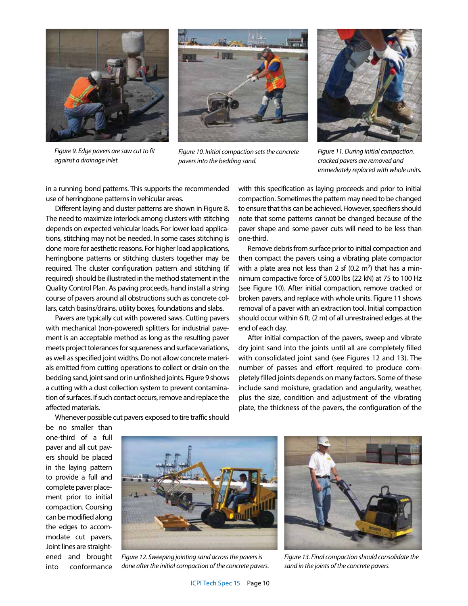



*Figure 9. Edge pavers are saw cut to fit against a drainage inlet.*

*Figure 10. Initial compaction sets the concrete pavers into the bedding sand.*



*Figure 11. During initial compaction, cracked pavers are removed and immediately replaced with whole units.* 

in a running bond patterns. This supports the recommended use of herringbone patterns in vehicular areas.

Different laying and cluster patterns are shown in Figure 8. The need to maximize interlock among clusters with stitching depends on expected vehicular loads. For lower load applications, stitching may not be needed. In some cases stitching is done more for aesthetic reasons. For higher load applications, herringbone patterns or stitching clusters together may be required. The cluster configuration pattern and stitching (if required) should be illustrated in the method statement in the Quality Control Plan. As paving proceeds, hand install a string course of pavers around all obstructions such as concrete collars, catch basins/drains, utility boxes, foundations and slabs.

Pavers are typically cut with powered saws. Cutting pavers with mechanical (non-powered) splitters for industrial pavement is an acceptable method as long as the resulting paver meets project tolerances for squareness and surface variations, as well as specified joint widths. Do not allow concrete materials emitted from cutting operations to collect or drain on the bedding sand, joint sand or in unfinished joints. Figure 9 shows a cutting with a dust collection system to prevent contamination of surfaces. If such contact occurs, remove and replace the affected materials.

with this specification as laying proceeds and prior to initial compaction. Sometimes the pattern may need to be changed to ensure that this can be achieved. However, specifiers should note that some patterns cannot be changed because of the paver shape and some paver cuts will need to be less than one-third.

Remove debris from surface prior to initial compaction and then compact the pavers using a vibrating plate compactor with a plate area not less than 2 sf  $(0.2 \text{ m}^2)$  that has a minnimum compactive force of 5,000 lbs (22 kN) at 75 to 100 Hz (see Figure 10). After initial compaction, remove cracked or broken pavers, and replace with whole units. Figure 11 shows removal of a paver with an extraction tool. Initial compaction should occur within 6 ft. (2 m) of all unrestrained edges at the end of each day.

After initial compaction of the pavers, sweep and vibrate dry joint sand into the joints until all are completely filled with consolidated joint sand (see Figures 12 and 13). The number of passes and effort required to produce completely filled joints depends on many factors. Some of these include sand moisture, gradation and angularity, weather, plus the size, condition and adjustment of the vibrating plate, the thickness of the pavers, the configuration of the

Whenever possible cut pavers exposed to tire traffic should

be no smaller than one-third of a full paver and all cut pavers should be placed in the laying pattern to provide a full and complete paver placement prior to initial compaction. Coursing can be modified along the edges to accommodate cut pavers. Joint lines are straightened and brought into conformance



*Figure 12. Sweeping jointing sand across the pavers is done after the initial compaction of the concrete pavers.* 



*Figure 13. Final compaction should consolidate the sand in the joints of the concrete pavers.*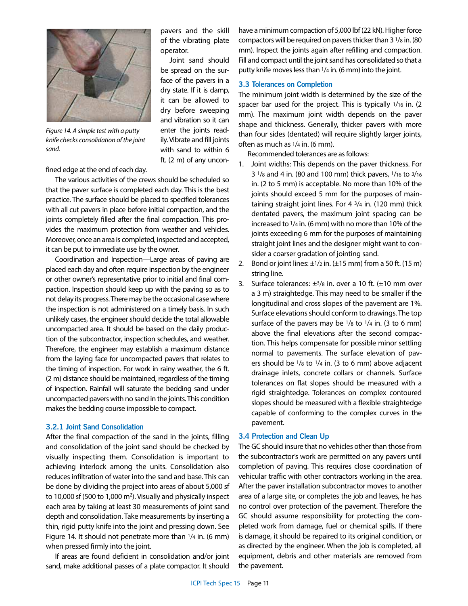

*Figure 14. A simple test with a putty knife checks consolidation of the joint sand.* 

fined edge at the end of each day.

The various activities of the crews should be scheduled so that the paver surface is completed each day. This is the best practice. The surface should be placed to specified tolerances with all cut pavers in place before initial compaction, and the joints completely filled after the final compaction. This provides the maximum protection from weather and vehicles. Moreover, once an area is completed, inspected and accepted, it can be put to immediate use by the owner.

Coordination and Inspection—Large areas of paving are placed each day and often require inspection by the engineer or other owner's representative prior to initial and final compaction. Inspection should keep up with the paving so as to not delay its progress. There may be the occasional case where the inspection is not administered on a timely basis. In such unlikely cases, the engineer should decide the total allowable uncompacted area. It should be based on the daily production of the subcontractor, inspection schedules, and weather. Therefore, the engineer may establish a maximum distance from the laying face for uncompacted pavers that relates to the timing of inspection. For work in rainy weather, the 6 ft. (2 m) distance should be maintained, regardless of the timing of inspection. Rainfall will saturate the bedding sand under uncompacted pavers with no sand in the joints. This condition makes the bedding course impossible to compact.

#### **3.2.1 Joint Sand Consolidation**

After the final compaction of the sand in the joints, filling and consolidation of the joint sand should be checked by visually inspecting them. Consolidation is important to achieving interlock among the units. Consolidation also reduces infiltration of water into the sand and base. This can be done by dividing the project into areas of about 5,000 sf to 10,000 sf (500 to 1,000  $m<sup>2</sup>$ ). Visually and physically inspect each area by taking at least 30 measurements of joint sand depth and consolidation. Take measurements by inserting a thin, rigid putty knife into the joint and pressing down. See Figure 14. It should not penetrate more than 1/4 in. (6 mm) when pressed firmly into the joint.

If areas are found deficient in consolidation and/or joint sand, make additional passes of a plate compactor. It should

pavers and the skill of the vibrating plate operator.

Joint sand should be spread on the surface of the pavers in a dry state. If it is damp, it can be allowed to dry before sweeping and vibration so it can enter the joints readily. Vibrate and fill joints with sand to within 6 ft. (2 m) of any unconhave a minimum compaction of 5,000 lbf (22 kN). Higher force compactors will be required on pavers thicker than 3 1/8 in. (80 mm). Inspect the joints again after refilling and compaction. Fill and compact until the joint sand has consolidated so that a putty knife moves less than 1/4 in. (6 mm) into the joint.

## **3.3 Tolerances on Completion**

The minimum joint width is determined by the size of the spacer bar used for the project. This is typically 1/16 in. (2) mm). The maximum joint width depends on the paver shape and thickness. Generally, thicker pavers with more than four sides (dentated) will require slightly larger joints, often as much as 1/4 in. (6 mm).

Recommended tolerances are as follows:

- 1. Joint widths: This depends on the paver thickness. For 3 1/8 and 4 in. (80 and 100 mm) thick pavers, 1/16 to 3/16 in. (2 to 5 mm) is acceptable. No more than 10% of the joints should exceed 5 mm for the purposes of maintaining straight joint lines. For 4 3/4 in. (120 mm) thick dentated pavers, the maximum joint spacing can be increased to 1/4 in. (6 mm) with no more than 10% of the joints exceeding 6 mm for the purposes of maintaining straight joint lines and the designer might want to consider a coarser gradation of jointing sand.
- 2. Bond or joint lines:  $\pm$ <sup>1</sup>/2 in. ( $\pm$ 15 mm) from a 50 ft. (15 m) string line.
- 3. Surface tolerances:  $\pm$ 3/8 in. over a 10 ft. ( $\pm$ 10 mm over a 3 m) straightedge. This may need to be smaller if the longitudinal and cross slopes of the pavement are 1%. Surface elevations should conform to drawings. The top surface of the pavers may be  $1/8$  to  $1/4$  in. (3 to 6 mm) above the final elevations after the second compaction. This helps compensate for possible minor settling normal to pavements. The surface elevation of pavers should be  $\frac{1}{8}$  to  $\frac{1}{4}$  in. (3 to 6 mm) above adjacent drainage inlets, concrete collars or channels. Surface tolerances on flat slopes should be measured with a rigid straightedge. Tolerances on complex contoured slopes should be measured with a flexible straightedge capable of conforming to the complex curves in the pavement.

#### **3.4 Protection and Clean Up**

The GC should insure that no vehicles other than those from the subcontractor's work are permitted on any pavers until completion of paving. This requires close coordination of vehicular traffic with other contractors working in the area. After the paver installation subcontractor moves to another area of a large site, or completes the job and leaves, he has no control over protection of the pavement. Therefore the GC should assume responsibility for protecting the completed work from damage, fuel or chemical spills. If there is damage, it should be repaired to its original condition, or as directed by the engineer. When the job is completed, all equipment, debris and other materials are removed from the pavement.